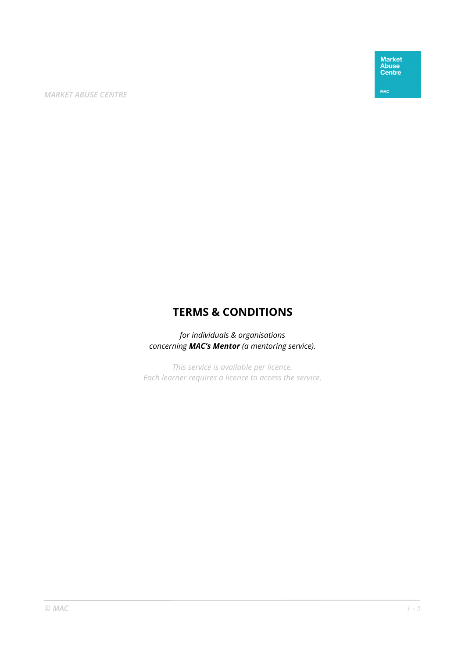Market<br>Abuse<br>Centre

**MAC** 

# **TERMS & CONDITIONS**

*for individuals & organisations concerning MAC's Mentor (a mentoring service).* 

*This service is available per licence. Each learner requires a licence to access the service.*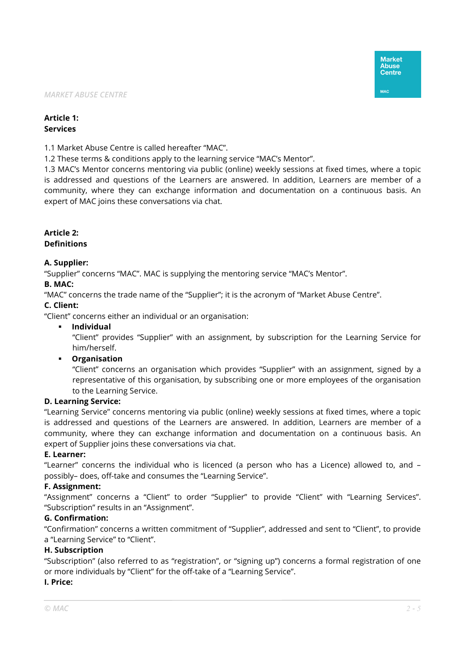# **Article 1: Services**

1.1 Market Abuse Centre is called hereafter "MAC".

1.2 These terms & conditions apply to the learning service "MAC's Mentor".

1.3 MAC's Mentor concerns mentoring via public (online) weekly sessions at fixed times, where a topic is addressed and questions of the Learners are answered. In addition, Learners are member of a community, where they can exchange information and documentation on a continuous basis. An expert of MAC joins these conversations via chat.

## **Article 2: Definitions**

## **A. Supplier:**

"Supplier" concerns "MAC". MAC is supplying the mentoring service "MAC's Mentor".

## **B. MAC:**

"MAC" concerns the trade name of the "Supplier"; it is the acronym of "Market Abuse Centre".

## **C. Client:**

"Client" concerns either an individual or an organisation:

**Individual** 

"Client" provides "Supplier" with an assignment, by subscription for the Learning Service for him/herself.

## **Organisation**

"Client" concerns an organisation which provides "Supplier" with an assignment, signed by a representative of this organisation, by subscribing one or more employees of the organisation to the Learning Service.

#### **D. Learning Service:**

"Learning Service" concerns mentoring via public (online) weekly sessions at fixed times, where a topic is addressed and questions of the Learners are answered. In addition, Learners are member of a community, where they can exchange information and documentation on a continuous basis. An expert of Supplier joins these conversations via chat.

#### **E. Learner:**

"Learner" concerns the individual who is licenced (a person who has a Licence) allowed to, and – possibly– does, off-take and consumes the "Learning Service".

## **F. Assignment:**

"Assignment" concerns a "Client" to order "Supplier" to provide "Client" with "Learning Services". "Subscription" results in an "Assignment".

## **G. Confirmation:**

"Confirmation" concerns a written commitment of "Supplier", addressed and sent to "Client", to provide a "Learning Service" to "Client".

#### **H. Subscription**

"Subscription" (also referred to as "registration", or "signing up") concerns a formal registration of one or more individuals by "Client" for the off-take of a "Learning Service".

#### **I. Price:**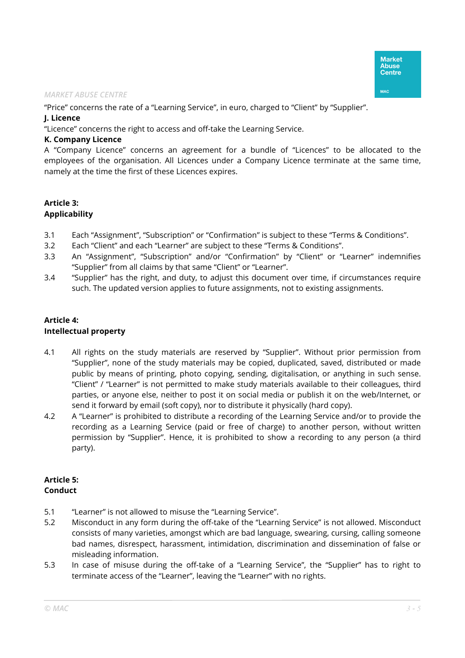"Price" concerns the rate of a "Learning Service", in euro, charged to "Client" by "Supplier".

#### **J. Licence**

"Licence" concerns the right to access and off-take the Learning Service.

## **K. Company Licence**

A "Company Licence" concerns an agreement for a bundle of "Licences" to be allocated to the employees of the organisation. All Licences under a Company Licence terminate at the same time, namely at the time the first of these Licences expires.

# **Article 3: Applicability**

- 3.1 Each "Assignment", "Subscription" or "Confirmation" is subject to these "Terms & Conditions".
- 3.2 Each "Client" and each "Learner" are subject to these "Terms & Conditions".
- 3.3 An "Assignment", "Subscription" and/or "Confirmation" by "Client" or "Learner" indemnifies "Supplier" from all claims by that same "Client" or "Learner".
- 3.4 "Supplier" has the right, and duty, to adjust this document over time, if circumstances require such. The updated version applies to future assignments, not to existing assignments.

# **Article 4: Intellectual property**

- 4.1 All rights on the study materials are reserved by "Supplier". Without prior permission from "Supplier", none of the study materials may be copied, duplicated, saved, distributed or made public by means of printing, photo copying, sending, digitalisation, or anything in such sense. "Client" / "Learner" is not permitted to make study materials available to their colleagues, third parties, or anyone else, neither to post it on social media or publish it on the web/Internet, or send it forward by email (soft copy), nor to distribute it physically (hard copy).
- 4.2 A "Learner" is prohibited to distribute a recording of the Learning Service and/or to provide the recording as a Learning Service (paid or free of charge) to another person, without written permission by "Supplier". Hence, it is prohibited to show a recording to any person (a third party).

# **Article 5: Conduct**

- 5.1 "Learner" is not allowed to misuse the "Learning Service".
- 5.2 Misconduct in any form during the off-take of the "Learning Service" is not allowed. Misconduct consists of many varieties, amongst which are bad language, swearing, cursing, calling someone bad names, disrespect, harassment, intimidation, discrimination and dissemination of false or misleading information.
- 5.3 In case of misuse during the off-take of a "Learning Service", the "Supplier" has to right to terminate access of the "Learner", leaving the "Learner" with no rights.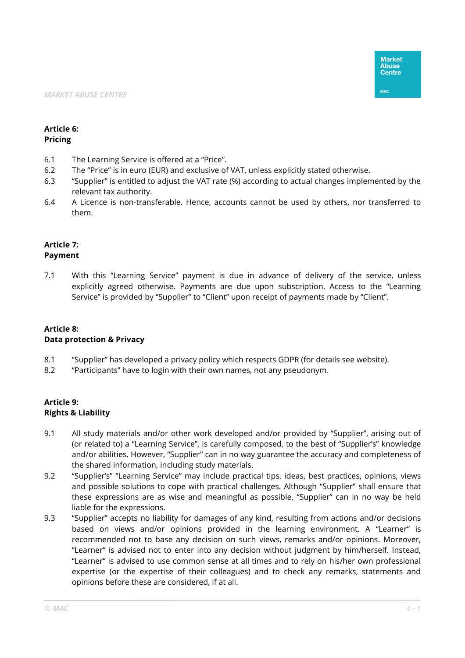#### **Article 6: Pricing**

- 6.1 The Learning Service is offered at a "Price".
- 6.2 The "Price" is in euro (EUR) and exclusive of VAT, unless explicitly stated otherwise.
- 6.3 "Supplier" is entitled to adjust the VAT rate (%) according to actual changes implemented by the relevant tax authority.
- 6.4 A Licence is non-transferable. Hence, accounts cannot be used by others, nor transferred to them.

#### **Article 7: Payment**

7.1 With this "Learning Service" payment is due in advance of delivery of the service, unless explicitly agreed otherwise. Payments are due upon subscription. Access to the "Learning Service" is provided by "Supplier" to "Client" upon receipt of payments made by "Client".

#### **Article 8: Data protection & Privacy**

- 8.1 "Supplier" has developed a privacy policy which respects GDPR (for details see website).
- 8.2 "Participants" have to login with their own names, not any pseudonym.

## **Article 9: Rights & Liability**

- 9.1 All study materials and/or other work developed and/or provided by "Supplier", arising out of (or related to) a "Learning Service", is carefully composed, to the best of "Supplier's" knowledge and/or abilities. However, "Supplier" can in no way guarantee the accuracy and completeness of the shared information, including study materials.
- 9.2 "Supplier's" "Learning Service" may include practical tips, ideas, best practices, opinions, views and possible solutions to cope with practical challenges. Although "Supplier" shall ensure that these expressions are as wise and meaningful as possible, "Supplier" can in no way be held liable for the expressions.
- 9.3 "Supplier" accepts no liability for damages of any kind, resulting from actions and/or decisions based on views and/or opinions provided in the learning environment. A "Learner" is recommended not to base any decision on such views, remarks and/or opinions. Moreover, "Learner" is advised not to enter into any decision without judgment by him/herself. Instead, "Learner" is advised to use common sense at all times and to rely on his/her own professional expertise (or the expertise of their colleagues) and to check any remarks, statements and opinions before these are considered, if at all.